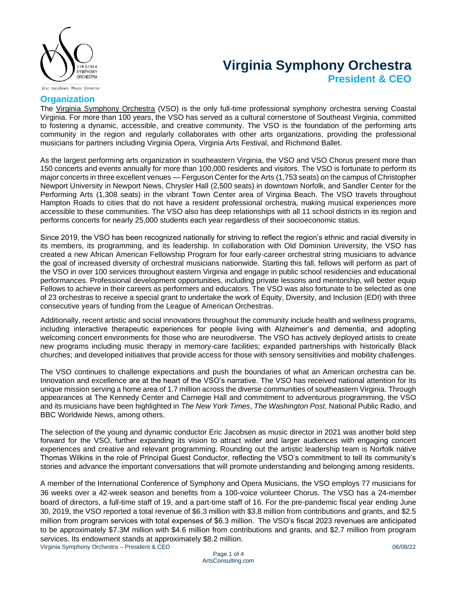

# **Virginia Symphony Orchestra President & CEO**

Eric Jacobsen, Music Director

# **Organization**

The [Virginia Symphony Orchestra](http://virginiasymphony.org/) (VSO) is the only full-time professional symphony orchestra serving Coastal Virginia. For more than 100 years, the VSO has served as a cultural cornerstone of Southeast Virginia, committed to fostering a dynamic, accessible, and creative community. The VSO is the foundation of the performing arts community in the region and regularly collaborates with other arts organizations, providing the professional musicians for partners including Virginia Opera, Virginia Arts Festival, and Richmond Ballet.

As the largest performing arts organization in southeastern Virginia, the VSO and VSO Chorus present more than 150 concerts and events annually for more than 100,000 residents and visitors. The VSO is fortunate to perform its major concerts in three excellent venues — Ferguson Center for the Arts (1,753 seats) on the campus of Christopher Newport University in Newport News, Chrysler Hall (2,500 seats) in downtown Norfolk, and Sandler Center for the Performing Arts (1,308 seats) in the vibrant Town Center area of Virginia Beach. The VSO travels throughout Hampton Roads to cities that do not have a resident professional orchestra, making musical experiences more accessible to these communities. The VSO also has deep relationships with all 11 school districts in its region and performs concerts for nearly 25,000 students each year regardless of their socioeconomic status.

Since 2019, the VSO has been recognized nationally for striving to reflect the region's ethnic and racial diversity in its members, its programming, and its leadership. In collaboration with Old Dominion University, the VSO has created a new African American Fellowship Program for four early-career orchestral string musicians to advance the goal of increased diversity of orchestral musicians nationwide. Starting this fall, fellows will perform as part of the VSO in over 100 services throughout eastern Virginia and engage in public school residencies and educational performances. Professional development opportunities, including private lessons and mentorship, will better equip Fellows to achieve in their careers as performers and educators. The VSO was also fortunate to be selected as one of 23 orchestras to receive a special grant to undertake the work of Equity, Diversity, and Inclusion (EDI) with three consecutive years of funding from the League of American Orchestras.

Additionally, recent artistic and social innovations throughout the community include health and wellness programs, including interactive therapeutic experiences for people living with Alzheimer's and dementia, and adopting welcoming concert environments for those who are neurodiverse. The VSO has actively deployed artists to create new programs including music therapy in memory-care facilities; expanded partnerships with historically Black churches; and developed initiatives that provide access for those with sensory sensitivities and mobility challenges.

The VSO continues to challenge expectations and push the boundaries of what an American orchestra can be. Innovation and excellence are at the heart of the VSO's narrative. The VSO has received national attention for its unique mission serving a home area of 1.7 million across the diverse communities of southeastern Virginia. Through appearances at The Kennedy Center and Carnegie Hall and commitment to adventurous programming, the VSO and its musicians have been highlighted in *The New York Times*, *The Washington Post*, National Public Radio, and BBC Worldwide News, among others.

The selection of the young and dynamic conductor Eric Jacobsen as music director in 2021 was another bold step forward for the VSO, further expanding its vision to attract wider and larger audiences with engaging concert experiences and creative and relevant programming. Rounding out the artistic leadership team is Norfolk native Thomas Wilkins in the role of Principal Guest Conductor, reflecting the VSO's commitment to tell its community's stories and advance the important conversations that will promote understanding and belonging among residents.

Virginia Symphony Orchestra – President & CEO 06/08/22 A member of the International Conference of Symphony and Opera Musicians, the VSO employs 77 musicians for 36 weeks over a 42-week season and benefits from a 100-voice volunteer Chorus. The VSO has a 24-member board of directors, a full-time staff of 19, and a part-time staff of 16. For the pre-pandemic fiscal year ending June 30, 2019, the VSO reported a total revenue of \$6.3 million with \$3.8 million from contributions and grants, and \$2.5 million from program services with total expenses of \$6.3 million.  The VSO's fiscal 2023 revenues are anticipated to be approximately \$7.3M million with \$4.6 million from contributions and grants, and \$2.7 million from program services. Its endowment stands at approximately \$8.2 million.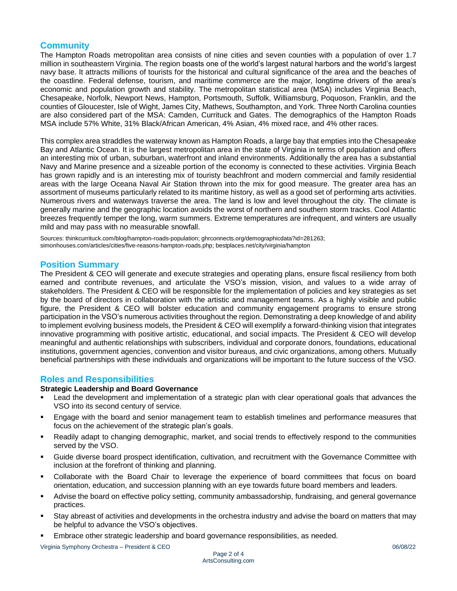# **Community**

The Hampton Roads metropolitan area consists of nine cities and seven counties with a population of over 1.7 million in southeastern Virginia. The region boasts one of the world's largest natural harbors and the world's largest navy base. It attracts millions of tourists for the historical and cultural significance of the area and the beaches of the coastline. Federal defense, tourism, and maritime commerce are the major, longtime drivers of the area's economic and population growth and stability. The metropolitan statistical area (MSA) includes Virginia Beach, Chesapeake, Norfolk, Newport News, Hampton, Portsmouth, Suffolk, Williamsburg, Poquoson, Franklin, and the counties of Gloucester, Isle of Wight, James City, Mathews, Southampton, and York. Three North Carolina counties are also considered part of the MSA: Camden, Currituck and Gates. The demographics of the Hampton Roads MSA include 57% White, 31% Black/African American, 4% Asian, 4% mixed race, and 4% other races.

This complex area straddles the waterway known as Hampton Roads, a large bay that empties into the Chesapeake Bay and Atlantic Ocean. It is the largest metropolitan area in the state of Virginia in terms of population and offers an interesting mix of urban, suburban, waterfront and inland environments. Additionally the area has a substantial Navy and Marine presence and a sizeable portion of the economy is connected to these activities. Virginia Beach has grown rapidly and is an interesting mix of touristy beachfront and modern commercial and family residential areas with the large Oceana Naval Air Station thrown into the mix for good measure. The greater area has an assortment of museums particularly related to its maritime history, as well as a good set of performing arts activities. Numerous rivers and waterways traverse the area. The land is low and level throughout the city. The climate is generally marine and the geographic location avoids the worst of northern and southern storm tracks. Cool Atlantic breezes frequently temper the long, warm summers. Extreme temperatures are infrequent, and winters are usually mild and may pass with no measurable snowfall.

Sources: thinkcurrituck.com/blog/hampton-roads-population; ghrconnects.org/demographicdata?id=281263; simonhouses.com/articles/cities/five-reasons-hampton-roads.php; bestplaces.net/city/virginia/hampton

# **Position Summary**

The President & CEO will generate and execute strategies and operating plans, ensure fiscal resiliency from both earned and contribute revenues, and articulate the VSO's mission, vision, and values to a wide array of stakeholders. The President & CEO will be responsible for the implementation of policies and key strategies as set by the board of directors in collaboration with the artistic and management teams. As a highly visible and public figure, the President & CEO will bolster education and community engagement programs to ensure strong participation in the VSO's numerous activities throughout the region. Demonstrating a deep knowledge of and ability to implement evolving business models, the President & CEO will exemplify a forward-thinking vision that integrates innovative programming with positive artistic, educational, and social impacts. The President & CEO will develop meaningful and authentic relationships with subscribers, individual and corporate donors, foundations, educational institutions, government agencies, convention and visitor bureaus, and civic organizations, among others. Mutually beneficial partnerships with these individuals and organizations will be important to the future success of the VSO.

# **Roles and Responsibilities**

## **Strategic Leadership and Board Governance**

- Lead the development and implementation of a strategic plan with clear operational goals that advances the VSO into its second century of service.
- Engage with the board and senior management team to establish timelines and performance measures that focus on the achievement of the strategic plan's goals.
- Readily adapt to changing demographic, market, and social trends to effectively respond to the communities served by the VSO.
- Guide diverse board prospect identification, cultivation, and recruitment with the Governance Committee with inclusion at the forefront of thinking and planning.
- Collaborate with the Board Chair to leverage the experience of board committees that focus on board orientation, education, and succession planning with an eye towards future board members and leaders.
- Advise the board on effective policy setting, community ambassadorship, fundraising, and general governance practices.
- Stay abreast of activities and developments in the orchestra industry and advise the board on matters that may be helpful to advance the VSO's objectives.
- Embrace other strategic leadership and board governance responsibilities, as needed.

Virginia Symphony Orchestra – President & CEO 06/08/22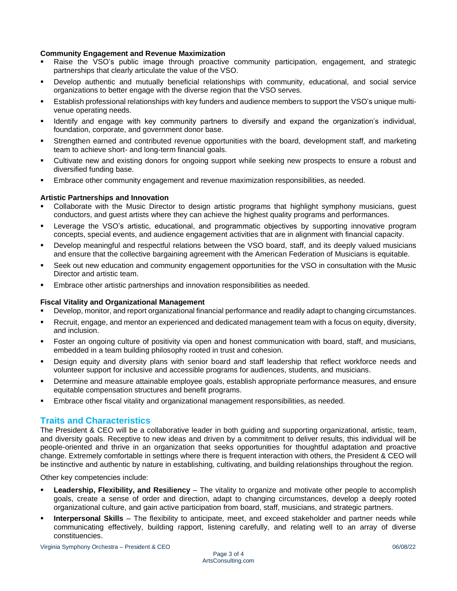## **Community Engagement and Revenue Maximization**

- Raise the VSO's public image through proactive community participation, engagement, and strategic partnerships that clearly articulate the value of the VSO.
- Develop authentic and mutually beneficial relationships with community, educational, and social service organizations to better engage with the diverse region that the VSO serves.
- Establish professional relationships with key funders and audience members to support the VSO's unique multivenue operating needs.
- Identify and engage with key community partners to diversify and expand the organization's individual, foundation, corporate, and government donor base.
- Strengthen earned and contributed revenue opportunities with the board, development staff, and marketing team to achieve short- and long-term financial goals.
- Cultivate new and existing donors for ongoing support while seeking new prospects to ensure a robust and diversified funding base.
- Embrace other community engagement and revenue maximization responsibilities, as needed.

## **Artistic Partnerships and Innovation**

- Collaborate with the Music Director to design artistic programs that highlight symphony musicians, guest conductors, and guest artists where they can achieve the highest quality programs and performances.
- Leverage the VSO's artistic, educational, and programmatic objectives by supporting innovative program concepts, special events, and audience engagement activities that are in alignment with financial capacity.
- Develop meaningful and respectful relations between the VSO board, staff, and its deeply valued musicians and ensure that the collective bargaining agreement with the American Federation of Musicians is equitable.
- Seek out new education and community engagement opportunities for the VSO in consultation with the Music Director and artistic team.
- Embrace other artistic partnerships and innovation responsibilities as needed.

### **Fiscal Vitality and Organizational Management**

- Develop, monitor, and report organizational financial performance and readily adapt to changing circumstances.
- Recruit, engage, and mentor an experienced and dedicated management team with a focus on equity, diversity, and inclusion.
- Foster an ongoing culture of positivity via open and honest communication with board, staff, and musicians, embedded in a team building philosophy rooted in trust and cohesion.
- Design equity and diversity plans with senior board and staff leadership that reflect workforce needs and volunteer support for inclusive and accessible programs for audiences, students, and musicians.
- Determine and measure attainable employee goals, establish appropriate performance measures, and ensure equitable compensation structures and benefit programs.
- Embrace other fiscal vitality and organizational management responsibilities, as needed.

### **Traits and Characteristics**

The President & CEO will be a collaborative leader in both guiding and supporting organizational, artistic, team, and diversity goals. Receptive to new ideas and driven by a commitment to deliver results, this individual will be people-oriented and thrive in an organization that seeks opportunities for thoughtful adaptation and proactive change. Extremely comfortable in settings where there is frequent interaction with others, the President & CEO will be instinctive and authentic by nature in establishing, cultivating, and building relationships throughout the region.

Other key competencies include:

- **Leadership, Flexibility, and Resiliency** The vitality to organize and motivate other people to accomplish goals, create a sense of order and direction, adapt to changing circumstances, develop a deeply rooted organizational culture, and gain active participation from board, staff, musicians, and strategic partners.
- **Interpersonal Skills** The flexibility to anticipate, meet, and exceed stakeholder and partner needs while communicating effectively, building rapport, listening carefully, and relating well to an array of diverse constituencies.